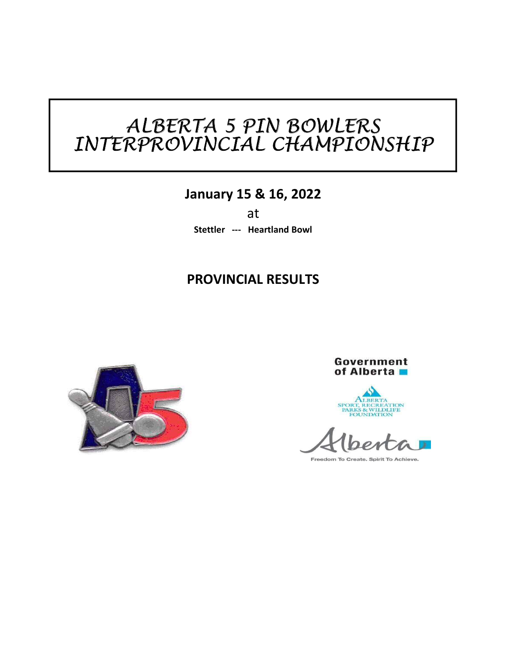# *ALBERTA 5 PIN BOWLERS INTERPROVINCIAL CHAMPIONSHIP*

### **January 15 & 16, 2022**

at

**Stettler --- Heartland Bowl**

### **PROVINCIAL RESULTS**



Government of Alberta $\blacksquare$ 

SP<sub>c</sub> REATION<br>ILDLIFE

Freedom To Create. Spirit To Achieve.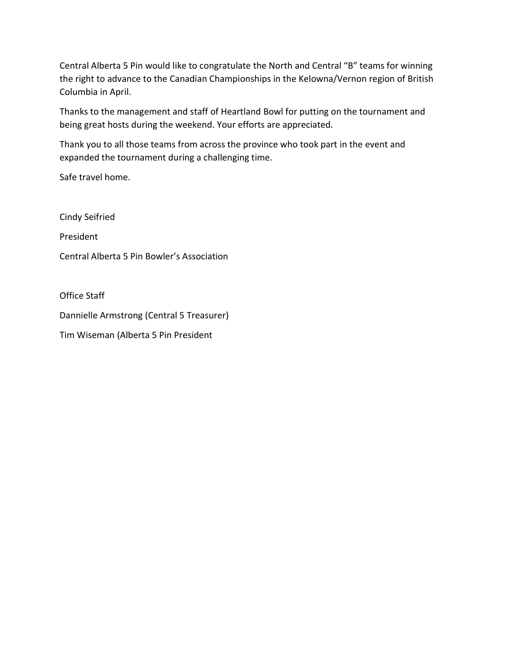Central Alberta 5 Pin would like to congratulate the North and Central "B" teams for winning the right to advance to the Canadian Championships in the Kelowna/Vernon region of British Columbia in April.

Thanks to the management and staff of Heartland Bowl for putting on the tournament and being great hosts during the weekend. Your efforts are appreciated.

Thank you to all those teams from across the province who took part in the event and expanded the tournament during a challenging time.

Safe travel home.

Cindy Seifried

President

Central Alberta 5 Pin Bowler's Association

Office Staff

Dannielle Armstrong (Central 5 Treasurer)

Tim Wiseman (Alberta 5 Pin President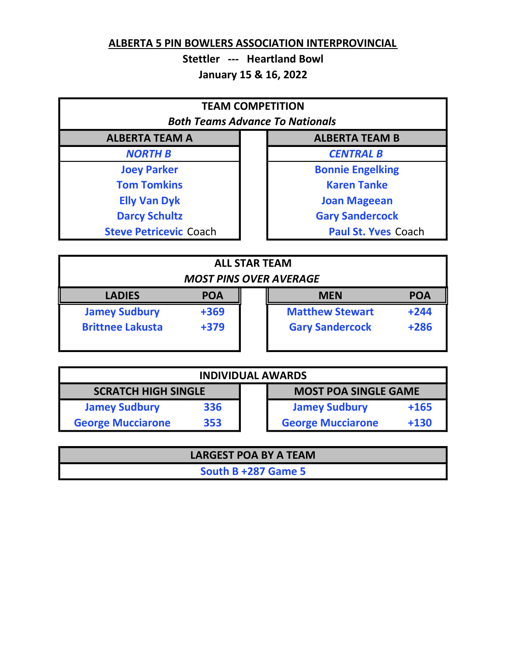**Stettler --- Heartland Bowl January 15 & 16, 2022**

| <b>TEAM COMPETITION</b><br><b>Both Teams Advance To Nationals</b> |                            |
|-------------------------------------------------------------------|----------------------------|
| <b>ALBERTA TEAM A</b>                                             | <b>ALBERTA TEAM B</b>      |
| <b>NORTH B</b>                                                    | <b>CENTRAL B</b>           |
| <b>Joey Parker</b>                                                | <b>Bonnie Engelking</b>    |
| <b>Tom Tomkins</b>                                                | <b>Karen Tanke</b>         |
| <b>Elly Van Dyk</b>                                               | <b>Joan Mageean</b>        |
| <b>Darcy Schultz</b>                                              | <b>Gary Sandercock</b>     |
| <b>Steve Petricevic Coach</b>                                     | <b>Paul St. Yves Coach</b> |

|                               |            | <b>ALL STAR TEAM</b> |                        |            |  |  |  |  |  |  |  |  |  |  |
|-------------------------------|------------|----------------------|------------------------|------------|--|--|--|--|--|--|--|--|--|--|
| <b>MOST PINS OVER AVERAGE</b> |            |                      |                        |            |  |  |  |  |  |  |  |  |  |  |
| <b>LADIES</b>                 | <b>POA</b> |                      | <b>MEN</b>             | <b>POA</b> |  |  |  |  |  |  |  |  |  |  |
| <b>Jamey Sudbury</b>          | $+369$     |                      | <b>Matthew Stewart</b> | $+244$     |  |  |  |  |  |  |  |  |  |  |
| <b>Brittnee Lakusta</b>       | $+379$     |                      | <b>Gary Sandercock</b> | $+286$     |  |  |  |  |  |  |  |  |  |  |
|                               |            |                      |                        |            |  |  |  |  |  |  |  |  |  |  |

|                            |     | <b>INDIVIDUAL AWARDS</b>    |        |
|----------------------------|-----|-----------------------------|--------|
| <b>SCRATCH HIGH SINGLE</b> |     | <b>MOST POA SINGLE GAME</b> |        |
| <b>Jamey Sudbury</b>       | 336 | <b>Jamey Sudbury</b>        | $+165$ |
| <b>George Mucciarone</b>   | 353 | <b>George Mucciarone</b>    | $+130$ |

| LARGEST POA BY A TEAM |  |
|-----------------------|--|
| South B +287 Game 5   |  |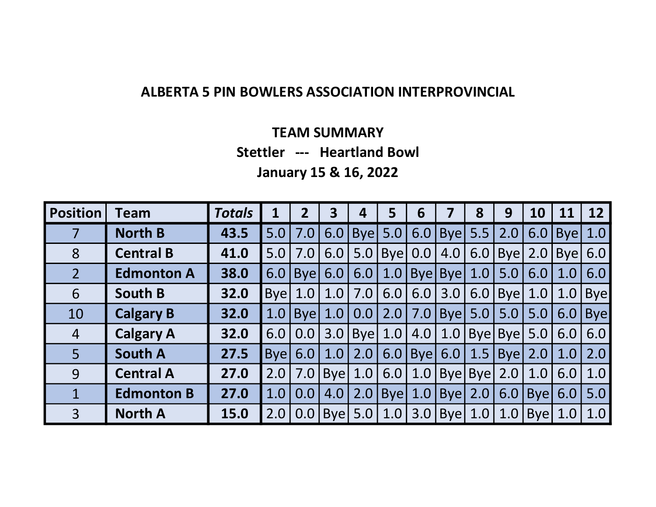## **TEAM SUMMARY**

### **Stettler --- Heartland Bowl**

**January 15 & 16, 2022**

| <b>Position</b> | Team              | <b>Totals</b> | 1           | $\overline{2}$  | 3          | 4           | 5          | 6   |                 | 8           | 9                | <b>10</b>   | 11          | 12              |
|-----------------|-------------------|---------------|-------------|-----------------|------------|-------------|------------|-----|-----------------|-------------|------------------|-------------|-------------|-----------------|
|                 | <b>North B</b>    | 43.5          | 5.0         | 7.0             | 6.0        | <b>Byel</b> | 5.0        | 6.0 | <b>Byel 5.5</b> |             | 2.0              | 6.0         |             | <b>Byel 1.0</b> |
| 8               | <b>Central B</b>  | 41.0          | 5.0         | 7.0             | 6.0        | 5.0         | <b>Bye</b> | 0.0 | 4.0             |             | $6.0$ Bye        | 2.0         | <b>Byel</b> | 6.0             |
| $\overline{2}$  | <b>Edmonton A</b> | 38.0          | 6.0         | <b>Byel</b>     | 6.0        | 6.0         | 1.0        |     | Bye Bye 1.0     |             | 5.0              | 6.0         | 1.0         | 6.0             |
| 6               | <b>South B</b>    | 32.0          | <b>Byel</b> | 1.0             | 1.0        | 7.0         | 6.0        | 6.0 | 3.0             | 6.0         | <b>Byel</b>      | 1.0         | 1.0         | <b>Byel</b>     |
| 10              | <b>Calgary B</b>  | 32.0          | 1.0         | <b>Byel</b>     | 1.0        | 0.0         | 2.0        | 7.0 | <b>Bye</b> 5.0  |             | 5.0              | 5.0         |             | $6.0$   Bye     |
| $\overline{4}$  | <b>Calgary A</b>  | 32.0          | 6.0         | 0.0             | 3.0        | <b>Byel</b> | 1.0        | 4.0 | 1.0             |             | <b>Byel Byel</b> | 5.0         | 6.01        | 6.0             |
| 5 <sup>1</sup>  | <b>South A</b>    | 27.5          |             | <b>Byel 6.0</b> | 1.0        | 2.0         | 6.0        |     | Bye $6.0$   1.5 |             | $ Bye $ 2.0      |             | 1.0         | 2.0             |
| 9               | <b>Central A</b>  | 27.0          | 2.0         | 7.0             | <b>Bye</b> | 1.0         | 6.0        | 1.0 |                 | Bye Bye 2.0 |                  | 1.0         |             | $6.0$   1.0     |
| 1               | <b>Edmonton B</b> | 27.0          | 1.0         | 0.0             | 4.0        | 2.0         | <b>Bye</b> | 1.0 | <b>Bye</b> 2.0  |             | 6.0              | <b>Byel</b> | 6.0         | 5.0             |
| $\overline{3}$  | <b>North A</b>    | 15.0          | 2.0         | 0.0             | <b>Bye</b> | 5.0         | 1.0        | 3.0 | Bye $1.0$       |             | 1.0              | <b>Bye</b>  | 1.0         | 1.0             |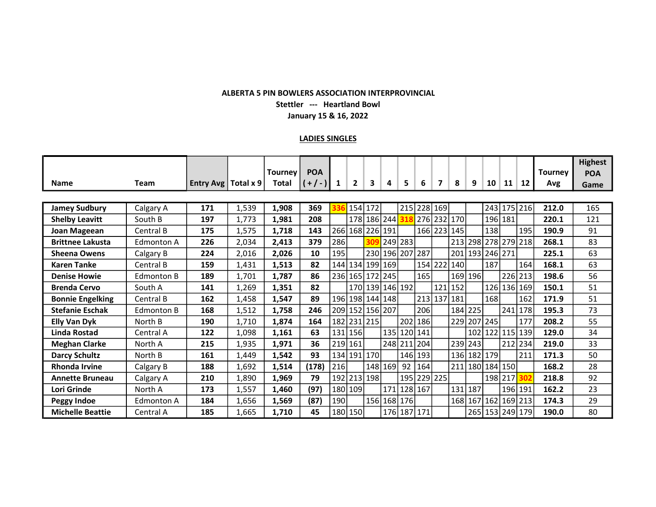#### **ALBERTA 5 PIN BOWLERS ASSOCIATION INTERPROVINCIAL Stettler --- Heartland Bowl January 15 & 16, 2022**

#### **LADIES SINGLES**

|                         |                   |                       |       |         |            |     |                 |                         |                 |             |             |                |            |         |             |         |                 |                | <b>Highest</b> |
|-------------------------|-------------------|-----------------------|-------|---------|------------|-----|-----------------|-------------------------|-----------------|-------------|-------------|----------------|------------|---------|-------------|---------|-----------------|----------------|----------------|
|                         |                   |                       |       | Tourney | <b>POA</b> |     |                 |                         |                 |             |             |                |            |         |             |         |                 | <b>Tourney</b> | <b>POA</b>     |
| <b>Name</b>             | <b>Team</b>       | Entry Avg   Total x 9 |       | Total   | $(+/-)$    | 1   | $\mathbf{2}$    | $\overline{\mathbf{3}}$ | 4               | 5           | 6           | $\overline{7}$ | 8          | 9       | 10          | 11      | 12              | Avg            | Game           |
|                         |                   |                       |       |         |            |     |                 |                         |                 |             |             |                |            |         |             |         |                 |                |                |
| <b>Jamey Sudbury</b>    | Calgary A         | 171                   | 1,539 | 1,908   | 369        |     | 154             | 172                     |                 |             |             | 215 228 169    |            |         |             |         | 243 175 216     | 212.0          | 165            |
| <b>Shelby Leavitt</b>   | South B           | 197                   | 1,773 | 1,981   | 208        |     |                 |                         | 178 186 244     |             |             | 276 232 170    |            |         |             | 196 181 |                 | 220.1          | 121            |
| Joan Mageean            | Central B         | 175                   | 1,575 | 1,718   | 143        |     | 266 168 226 191 |                         |                 |             |             | 166 223        | 145        |         | 138         |         | 195             | 190.9          | 91             |
| <b>Brittnee Lakusta</b> | <b>Edmonton A</b> | 226                   | 2,034 | 2,413   | 379        | 286 |                 | 309                     |                 | 249 283     |             |                | 213        | 298     | 278 279     |         | 218             | 268.1          | 83             |
| <b>Sheena Owens</b>     | Calgary B         | 224                   | 2,016 | 2,026   | 10         | 195 |                 | 230                     | 196             |             | 207 287     |                | 201        |         | 193 246 271 |         |                 | 225.1          | 63             |
| <b>Karen Tanke</b>      | Central B         | 159                   | 1,431 | 1,513   | 82         |     | 144 134 199 169 |                         |                 |             |             | 154 222        | 140        |         | 187         |         | 164             | 168.1          | 63             |
| <b>Denise Howie</b>     | <b>Edmonton B</b> | 189                   | 1,701 | 1,787   | 86         |     | 236 165 172 245 |                         |                 |             | 165         |                |            | 169 196 |             | 226     | 213             | 198.6          | 56             |
| <b>Brenda Cervo</b>     | South A           | 141                   | 1,269 | 1,351   | 82         |     |                 |                         | 170 139 146 192 |             |             | 121            | 152        |         |             |         | 126 136 169     | 150.1          | 51             |
| <b>Bonnie Engelking</b> | Central B         | 162                   | 1,458 | 1,547   | 89         |     | 196 198 144 148 |                         |                 |             | 213         | 137            | 181        |         | 168         |         | 162             | 171.9          | 51             |
| <b>Stefanie Eschak</b>  | Edmonton B        | 168                   | 1,512 | 1,758   | 246        |     | 209 152 156 207 |                         |                 |             | 206         |                |            | 184 225 |             | 241     | 178             | 195.3          | 73             |
| <b>Elly Van Dyk</b>     | North B           | 190                   | 1,710 | 1,874   | 164        |     | 182 231 215     |                         |                 |             | 202 186     |                | 229        | 207 245 |             |         | 177             | 208.2          | 55             |
| Linda Rostad            | Central A         | 122                   | 1,098 | 1,161   | 63         |     | 131 156         |                         | 135             |             | 120 141     |                |            |         | 102 122 115 |         | 139             | 129.0          | 34             |
| <b>Meghan Clarke</b>    | North A           | 215                   | 1,935 | 1,971   | 36         |     | 219 161         |                         | 248             |             | 211 204     |                |            | 239 243 |             | 212     | 234             | 219.0          | 33             |
| <b>Darcy Schultz</b>    | North B           | 161                   | 1,449 | 1,542   | 93         |     | 134 191 170     |                         |                 |             | 146 193     |                | <b>136</b> |         | 182 179     |         | 211             | 171.3          | 50             |
| <b>Rhonda Irvine</b>    | Calgary B         | 188                   | 1,692 | 1,514   | (178)      | 216 |                 |                         | 148 169         |             | 92   164    |                | 211        |         | 180 184 150 |         |                 | 168.2          | 28             |
| <b>Annette Bruneau</b>  | Calgary A         | 210                   | 1,890 | 1,969   | 79         |     | 192 213         | <b>198</b>              |                 |             | 195 229 225 |                |            |         |             | 198 217 | 302             | 218.8          | 92             |
| Lori Grinde             | North A           | 173                   | 1,557 | 1,460   | (97)       |     | 180 109         |                         | 171             |             | 128 167     |                | 131        | 187     |             |         | 196 191         | 162.2          | 23             |
| Peggy Indoe             | Edmonton A        | 184                   | 1,656 | 1,569   | (87)       | 190 |                 |                         | 156 168 176     |             |             |                | 168        | 167     | 162         | 169 213 |                 | 174.3          | 29             |
| <b>Michelle Beattie</b> | Central A         | 185                   | 1,665 | 1,710   | 45         |     | 180 150         |                         |                 | 176 187 171 |             |                |            |         |             |         | 265 153 249 179 | 190.0          | 80             |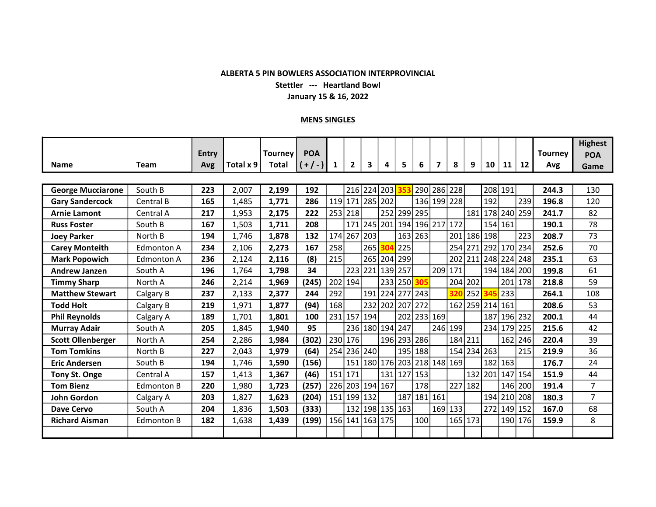**Stettler --- Heartland Bowl January 15 & 16, 2022**

#### **MENS SINGLES**

|                          |                   | <b>Entry</b> |             | Tourney | <b>POA</b> |     |              |             |         |                                   |         |                |     |                 |         |                 |     | <b>Tourney</b> | <b>Highest</b> |
|--------------------------|-------------------|--------------|-------------|---------|------------|-----|--------------|-------------|---------|-----------------------------------|---------|----------------|-----|-----------------|---------|-----------------|-----|----------------|----------------|
| <b>Name</b>              | <b>Team</b>       | Avg          | Total $x 9$ | Total   | $(+/-)$    | 1   | $\mathbf{2}$ | 3           | 4       | 5                                 | 6       | $\overline{7}$ | 8   | 9               | 10      | 11              | 12  | Avg            | POA<br>Game    |
|                          |                   |              |             |         |            |     |              |             |         |                                   |         |                |     |                 |         |                 |     |                |                |
| <b>George Mucciarone</b> | South B           | 223          | 2,007       | 2,199   | 192        |     |              | 216 224 203 |         |                                   |         | 290 286 228    |     |                 |         | 208 191         |     | 244.3          | 130            |
| <b>Gary Sandercock</b>   | Central B         | 165          | 1,485       | 1,771   | 286        | 119 | 171          | 285 202     |         |                                   |         | 136 199 228    |     |                 | 192     |                 | 239 | 196.8          | 120            |
| <b>Arnie Lamont</b>      | Central A         | 217          | 1,953       | 2,175   | 222        |     | 253 218      |             | 252     | 299 295                           |         |                |     |                 |         | 181 178 240 259 |     | 241.7          | 82             |
| <b>Russ Foster</b>       | South B           | 167          | 1,503       | 1,711   | 208        |     | 171          |             |         | 245   201   194   196   217   172 |         |                |     |                 |         | 154 161         |     | 190.1          | 78             |
| <b>Joey Parker</b>       | North B           | 194          | 1,746       | 1,878   | 132        |     | 174 267      | 203         |         |                                   | 163 263 |                | 201 |                 | 186 198 |                 | 223 | 208.7          | 73             |
| <b>Carey Monteith</b>    | <b>Edmonton A</b> | 234          | 2,106       | 2,273   | 167        | 258 |              | 265         |         | 225                               |         |                | 254 | 271             |         | 292 170         | 234 | 252.6          | 70             |
| <b>Mark Popowich</b>     | <b>Edmonton A</b> | 236          | 2,124       | 2,116   | (8)        | 215 |              |             | 265 204 | 299                               |         |                | 202 | 211             |         | 248 224         | 248 | 235.1          | 63             |
| <b>Andrew Janzen</b>     | South A           | 196          | 1.764       | 1,798   | 34         |     |              |             |         | 223 221 139 257                   |         | 209            | 171 |                 |         | 194 184         | 200 | 199.8          | 61             |
| <b>Timmy Sharp</b>       | North A           | 246          | 2,214       | 1,969   | (245)      | 202 | 194          |             |         | 233 250                           |         |                | 204 | 202             |         | 201             | 178 | 218.8          | 59             |
| <b>Matthew Stewart</b>   | Calgary B         | 237          | 2,133       | 2,377   | 244        | 292 |              |             |         | 191 224 277 243                   |         |                |     | 252             |         | 233             |     | 264.1          | 108            |
| <b>Todd Holt</b>         | Calgary B         | 219          | 1,971       | 1,877   | (94)       | 168 |              |             |         | 232 202 207 272                   |         |                |     | 162 259 214 161 |         |                 |     | 208.6          | 53             |
| <b>Phil Reynolds</b>     | Calgary A         | 189          | 1,701       | 1,801   | 100        |     | 231 157      | 194         |         |                                   |         | 202 233 169    |     |                 | 187     | 196             | 232 | 200.1          | 44             |
| <b>Murray Adair</b>      | South A           | 205          | 1,845       | 1,940   | 95         |     |              | 236 180 194 |         | 247                               |         | 246 199        |     |                 |         | 234 179         | 225 | 215.6          | 42             |
| <b>Scott Ollenberger</b> | North A           | 254          | 2,286       | 1,984   | (302)      |     | 230 176      |             | 196     |                                   | 293 286 |                | 184 | 211             |         | 162             | 246 | 220.4          | 39             |
| <b>Tom Tomkins</b>       | North B           | 227          | 2,043       | 1,979   | (64)       |     | 254 236 240  |             |         |                                   | 195 188 |                |     | 154 234 263     |         |                 | 215 | 219.9          | 36             |
| <b>Eric Andersen</b>     | South B           | 194          | 1,746       | 1,590   | (156)      |     | 151          |             |         | 180   176   203   218   148   169 |         |                |     |                 |         | 182 163         |     | 176.7          | 24             |
| Tony St. Onge            | Central A         | 157          | 1,413       | 1,367   | (46)       | 151 | 171          |             |         | 131 127 153                       |         |                |     |                 |         | 132 201 147     | 154 | 151.9          | 44             |
| <b>Tom Bienz</b>         | <b>Edmonton B</b> | 220          | 1,980       | 1,723   | (257)      | 226 |              | 203 194 167 |         |                                   | 178     |                | 227 | 182             |         | 146             | 200 | 191.4          | $\overline{7}$ |
| John Gordon              | Calgary A         | 203          | 1,827       | 1,623   | (204)      |     | 151 199 132  |             |         |                                   |         | 187 181 161    |     |                 |         | 194 210         | 208 | 180.3          | $\overline{7}$ |
| <b>Dave Cervo</b>        | South A           | 204          | 1,836       | 1,503   | (333)      |     |              |             |         | 132 198 135 163                   |         | 169            | 133 |                 | 272     | 149             | 152 | 167.0          | 68             |
| <b>Richard Aisman</b>    | <b>Edmonton B</b> | 182          | 1,638       | 1,439   | (199)      | 156 | 141          | 163 175     |         |                                   | 100     |                | 165 | 173             |         | 190             | 176 | 159.9          | 8              |
|                          |                   |              |             |         |            |     |              |             |         |                                   |         |                |     |                 |         |                 |     |                |                |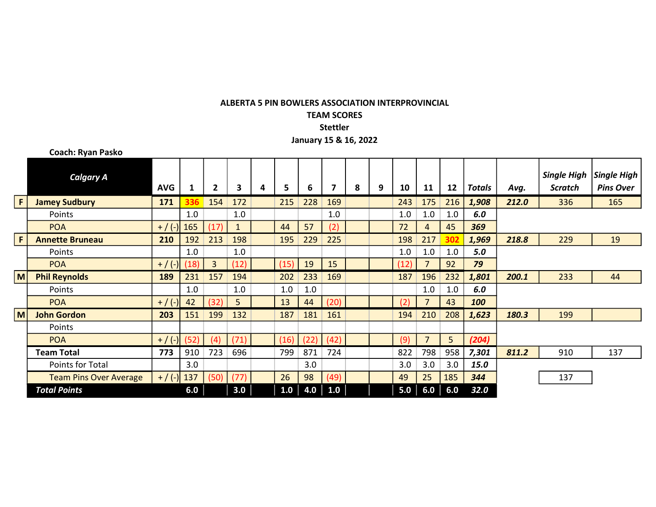**Coach: Ryan Pasko**

|                   | CUACH. NYAH FASNU             |               |      |                |                |   |      |      |      |   |   |      |                |     |        |       |                               |                                        |
|-------------------|-------------------------------|---------------|------|----------------|----------------|---|------|------|------|---|---|------|----------------|-----|--------|-------|-------------------------------|----------------------------------------|
|                   | <b>Calgary A</b>              | <b>AVG</b>    |      | $\mathbf{2}$   | 3              | 4 | 5    | 6    | 7    | 8 | 9 | 10   | 11             | 12  | Totals | Avg.  | <b>Single High</b><br>Scratch | <b>Single High</b><br><b>Pins Over</b> |
| F.                | <b>Jamey Sudbury</b>          | 171           | 336  | 154            | 172            |   | 215  | 228  | 169  |   |   | 243  | 175            | 216 | 1,908  | 212.0 | 336                           | 165                                    |
|                   | Points                        |               | 1.0  |                | 1.0            |   |      |      | 1.0  |   |   | 1.0  | 1.0            | 1.0 | 6.0    |       |                               |                                        |
|                   | <b>POA</b>                    | $+$ / (-) 165 |      | (17)           | $\mathbf{1}$   |   | 44   | 57   | (2)  |   |   | 72   | 4              | 45  | 369    |       |                               |                                        |
| F.                | <b>Annette Bruneau</b>        | 210           | 192  | 213            | 198            |   | 195  | 229  | 225  |   |   | 198  | 217            | 302 | 1,969  | 218.8 | 229                           | 19                                     |
|                   | Points                        |               | 1.0  |                | 1.0            |   |      |      |      |   |   | 1.0  | 1.0            | 1.0 | 5.0    |       |                               |                                        |
|                   | <b>POA</b>                    | $+$ / (-)     | (18) | $\overline{3}$ | (12)           |   | (15) | 19   | 15   |   |   | (12) | $\overline{7}$ | 92  | 79     |       |                               |                                        |
| $\vert M \vert$   | <b>Phil Reynolds</b>          | 189           | 231  | 157            | 194            |   | 202  | 233  | 169  |   |   | 187  | 196            | 232 | 1,801  | 200.1 | 233                           | 44                                     |
|                   | Points                        |               | 1.0  |                | 1.0            |   | 1.0  | 1.0  |      |   |   |      | 1.0            | 1.0 | 6.0    |       |                               |                                        |
|                   | <b>POA</b>                    | $+$ / (-)     | 42   | (32)           | 5 <sup>1</sup> |   | 13   | 44   | (20) |   |   | (2)  |                | 43  | 100    |       |                               |                                        |
| $\vert$ M $\vert$ | <b>John Gordon</b>            | 203           | 151  | 199            | 132            |   | 187  | 181  | 161  |   |   | 194  | 210            | 208 | 1,623  | 180.3 | 199                           |                                        |
|                   | Points                        |               |      |                |                |   |      |      |      |   |   |      |                |     |        |       |                               |                                        |
|                   | <b>POA</b>                    | $+$ / (-)     | (52) | (4)            | (71)           |   | (16) | (22) | (42) |   |   | (9)  | $\overline{7}$ | 5   | (204)  |       |                               |                                        |
|                   | <b>Team Total</b>             | 773           | 910  | 723            | 696            |   | 799  | 871  | 724  |   |   | 822  | 798            | 958 | 7,301  | 811.2 | 910                           | 137                                    |
|                   | Points for Total              |               | 3.0  |                |                |   |      | 3.0  |      |   |   | 3.0  | 3.0            | 3.0 | 15.0   |       |                               |                                        |
|                   | <b>Team Pins Over Average</b> | $+$ / (-)     | 137  | (50)           | (77)           |   | 26   | 98   | (49) |   |   | 49   | 25             | 185 | 344    |       | 137                           |                                        |
|                   | <b>Total Points</b>           |               | 6.0  |                | 3.0            |   | 1.0  | 4.0  | 1.0  |   |   | 5.0  | 6.0            | 6.0 | 32.0   |       |                               |                                        |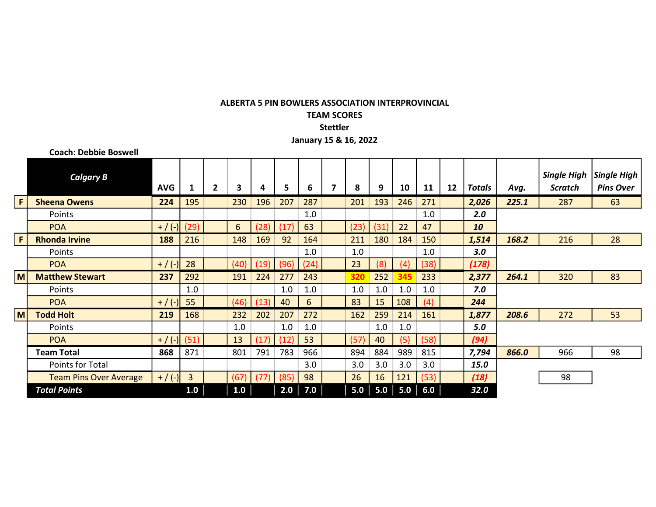**Coach: Debbie Boswell** *Calgary B* **AVG 1 2 3 4 5 6 7 8 9 10 11 12** *Totals Avg. Single High Single High Scratch Pins Over* **F Sheena Owens 224 | 224 | 1**95 | 230 | 196 | 207 | 287 | 201 | 193 | 246 | 271 | 2,026 | 225.1 | 287 | 63 Points 1.0 1.0 *2.0* POA + / (-) (29) 6 (28) (17) 63 (23) (31) 22 47 *10* **F Rhonda Irvine 188** 216 148 169 92 164 211 180 184 150 *1,514 168.2* 216 28 Points 1.0 1.0 1.0 *3.0* POA  $+$  / (-) 28  $(40)(19)(96)(24) - 23 (8)(4)(38)$   $(178)$ **M Matthew Stewart | 237 |** 292 | | 191 | 224 | 277 | 243 | <mark>| 320</mark> 252 <mark>| 345</mark> | 233 | | **2,377 | 264.1** | 320 | 83 Points 1.0 1.0 1.0 1.0 1.0 1.0 1.0 *7.0* POA + / (-) 55 (46) (13) 40 6 83 15 108 (4) *244* **M Todd Holt | 219** | 168 | | 232 | 202 | 207 | 272 | | 162 | 259 | 214 | 161 | | **1,877 | 208.6** | 272 | 53 Points 1.0 1.0 1.0 1.0 1.0 *5.0* POA + / (-) (51) 13 (17) (12) 53 (57) 40 (5) (58) *(94)* **Team Total | 868** | 871 | | 801 | 791 | 783 | 966 | | 894 | 884 | 989 | 815 | | **7,794 <mark>| 866.0</mark> |** 966 | 98 Points for Total 3.0 3.0 3.0 3.0 3.0 *15.0* Team Pins Over Average  $+$  / (-) 3  $(67)$  (77) (85) 98  $-$  26 16 121 (53)  $(18)$   $(18)$ *Total Points* **1.0 1.0 2.0 7.0 5.0 5.0 5.0 6.0** *32.0*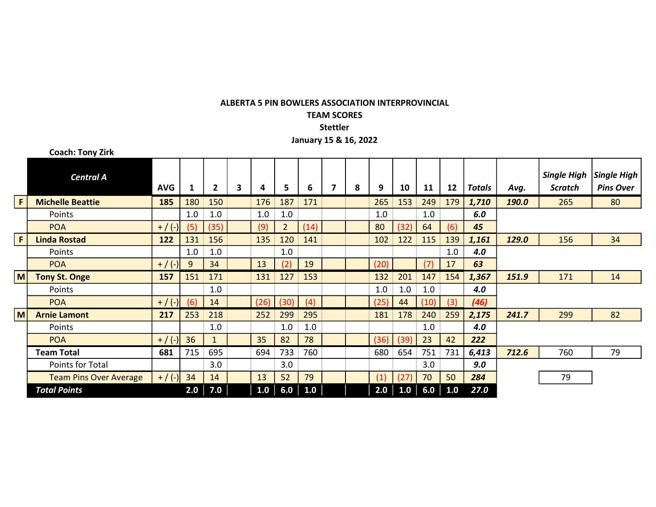|              | <b>Coach: Tony Zirk</b>       |            |     |              |   |      |                |      |                         |   |      |      |      |     |        |       |                                      |                                        |
|--------------|-------------------------------|------------|-----|--------------|---|------|----------------|------|-------------------------|---|------|------|------|-----|--------|-------|--------------------------------------|----------------------------------------|
|              | <b>Central A</b>              | <b>AVG</b> | 1   | $\mathbf{2}$ | 3 | 4    | 5              | 6    | $\overline{\mathbf{z}}$ | 8 | 9    | 10   | 11   | 12  | Totals | Avg.  | <b>Single High</b><br><b>Scratch</b> | <b>Single High</b><br><b>Pins Over</b> |
| $\mathsf{F}$ | <b>Michelle Beattie</b>       | 185        | 180 | 150          |   | 176  | 187            | 171  |                         |   | 265  | 153  | 249  | 179 | 1,710  | 190.0 | 265                                  | 80                                     |
|              | Points                        |            | 1.0 | 1.0          |   | 1.0  | 1.0            |      |                         |   | 1.0  |      | 1.0  |     | 6.0    |       |                                      |                                        |
|              | <b>POA</b>                    | $+$ / (-)  | (5) | (35)         |   | (9)  | $\overline{2}$ | (14) |                         |   | 80   | (32) | 64   | (6) | 45     |       |                                      |                                        |
| F            | <b>Linda Rostad</b>           | 122        | 131 | 156          |   | 135  | 120            | 141  |                         |   | 102  | 122  | 115  | 139 | 1,161  | 129.0 | 156                                  | 34                                     |
|              | Points                        |            | 1.0 | 1.0          |   |      | 1.0            |      |                         |   |      |      |      | 1.0 | 4.0    |       |                                      |                                        |
|              | <b>POA</b>                    | $+$ / (-)  | 9   | 34           |   | 13   | (2)            | 19   |                         |   | (20) |      | (7)  | 17  | 63     |       |                                      |                                        |
| M            | <b>Tony St. Onge</b>          | 157        | 151 | 171          |   | 131  | 127            | 153  |                         |   | 132  | 201  | 147  | 154 | 1,367  | 151.9 | 171                                  | 14                                     |
|              | Points                        |            |     | 1.0          |   |      |                |      |                         |   | 1.0  | 1.0  | 1.0  |     | 4.0    |       |                                      |                                        |
|              | <b>POA</b>                    | $+$ / (-)  | (6) | 14           |   | (26) | (30)           | (4)  |                         |   | (25) | 44   | (10) | (3) | (46)   |       |                                      |                                        |
| M            | <b>Arnie Lamont</b>           | 217        | 253 | 218          |   | 252  | 299            | 295  |                         |   | 181  | 178  | 240  | 259 | 2,175  | 241.7 | 299                                  | 82                                     |
|              | Points                        |            |     | 1.0          |   |      | 1.0            | 1.0  |                         |   |      |      | 1.0  |     | 4.0    |       |                                      |                                        |
|              | <b>POA</b>                    | $+$ / (-)  | 36  | $\mathbf{1}$ |   | 35   | 82             | 78   |                         |   | (36) | (39) | 23   | 42  | 222    |       |                                      |                                        |
|              | <b>Team Total</b>             | 681        | 715 | 695          |   | 694  | 733            | 760  |                         |   | 680  | 654  | 751  | 731 | 6,413  | 712.6 | 760                                  | 79                                     |
|              | Points for Total              |            |     | 3.0          |   |      | 3.0            |      |                         |   |      |      | 3.0  |     | 9.0    |       |                                      |                                        |
|              | <b>Team Pins Over Average</b> | $+$ / (-)  | 34  | 14           |   | 13   | 52             | 79   |                         |   | (1)  | 127  | 70   | 50  | 284    |       | 79                                   |                                        |
|              | <b>Total Points</b>           |            | 2.0 | 7.0          |   | 1.0  | 6.0            | 1.0  |                         |   | 2.0  | 1.0  | 6.0  | 1.0 | 27.0   |       |                                      |                                        |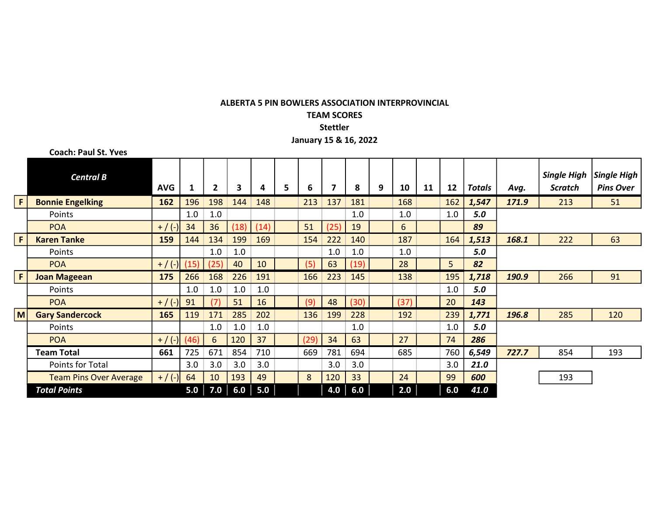**Coach: Paul St. Yves** *Central B* **AVG 1 2 3 4 5 6 7 8 9 10 11 12** *Totals Avg. Single High Single High Scratch Pins Over* **F** Bonnie Engelking 162 196 198 144 148 213 137 181 168 162 1,547 171.9 213 51 Points 1.0 1.0 1.0 1.0 1.0 *5.0* POA + / (-) 34 36 (18) (14) 51 (25) 19 6 *89* **F Karen Tanke 159** 144 134 199 169 154 222 140 187 164 *1,513 168.1* 222 63 Points 1.0 1.0 1.0 1.0 1.0 *5.0* POA + / (-) (15) (25) 40 10 (5) 63 (19) 28 5 *82* **F Joan Mageean 175** 266 168 226 191 166 223 145 138 195 *1,718 190.9* 266 91 Points 1.0 | 1.0 | 1.0 | 1.0 | *5.0* POA  $+$  / (-) $\mid$  91  $\mid$  (7)  $\mid$  51  $\mid$  16  $\mid$  (9)  $\mid$  48  $\mid$  (30)  $\mid$  (37)  $\mid$  20  $\mid$  **143 M Gary Sandercock 165 | 119 | 171 | 285 | 202 | 120 | 136 | 199 | 228 | 102 | 129 | 1271 | 196.8 | 285 | 120** Points 1.0 | 1.0 | 1.0 | 1.0 | *5.0* POA | + / (-)| (46) | 6 | 120 | 37 | | (29) | 34 | 63 | | 27 | | 74 | <mark>286</mark> **Team Total | 661** | 725 | 671 | 854 | 710 | | 669 | 781 | 694 | | 685 | | 760 | 6,**549 | 7<mark>27.7</mark> |** 854 | 193 Points for Total 3.0 3.0 3.0 3.0 3.0 3.0 3.0 *21.0* Team Pins Over Average | + / (-) 64 | 10 | 193 | 49 | 8 | 120 | 33 | | 24 | 99 | 600 | | | 193 *Total Points* **5.0 7.0 6.0 5.0 4.0 6.0 2.0 6.0** *41.0*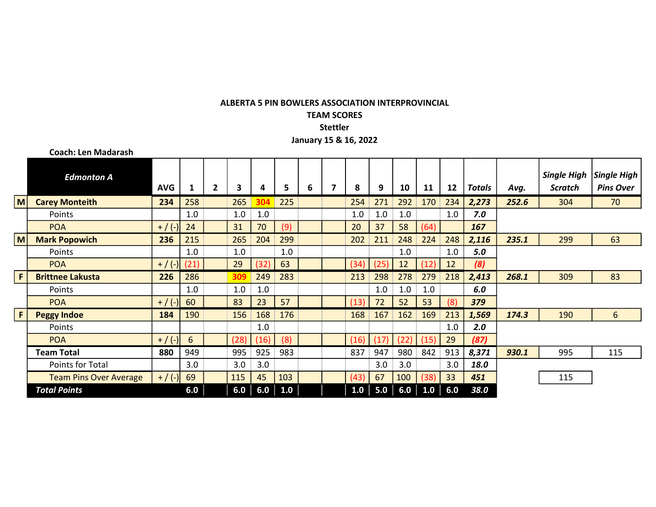|                 | <b>Coach: Len Madarash</b>    |            |      |              |      |      |           |   |                         |      |      |      |      |     |        |       |                                      |                                        |
|-----------------|-------------------------------|------------|------|--------------|------|------|-----------|---|-------------------------|------|------|------|------|-----|--------|-------|--------------------------------------|----------------------------------------|
|                 | <b>Edmonton A</b>             | <b>AVG</b> | 1    | $\mathbf{2}$ | 3    | 4    | 5         | 6 | $\overline{\mathbf{z}}$ | 8    | 9    | 10   | 11   | 12  | Totals | Avg.  | <b>Single High</b><br><b>Scratch</b> | <b>Single High</b><br><b>Pins Over</b> |
| $\vert M \vert$ | <b>Carey Monteith</b>         | 234        | 258  |              | 265  | 304  | 225       |   |                         | 254  | 271  | 292  | 170  | 234 | 2,273  | 252.6 | 304                                  | 70                                     |
|                 | Points                        |            | 1.0  |              | 1.0  | 1.0  |           |   |                         | 1.0  | 1.0  | 1.0  |      | 1.0 | 7.0    |       |                                      |                                        |
|                 | <b>POA</b>                    | $+$ / (-)  | 24   |              | 31   | 70   | (9)       |   |                         | 20   | 37   | 58   | (64) |     | 167    |       |                                      |                                        |
| M               | <b>Mark Popowich</b>          | 236        | 215  |              | 265  | 204  | 299       |   |                         | 202  | 211  | 248  | 224  | 248 | 2,116  | 235.1 | 299                                  | 63                                     |
|                 | Points                        |            | 1.0  |              | 1.0  |      | 1.0       |   |                         |      |      | 1.0  |      | 1.0 | 5.0    |       |                                      |                                        |
|                 | <b>POA</b>                    | $+$ / (-)  | (21) |              | 29   | (32) | 63        |   |                         | (34) | (25  | 12   | (12) | 12  | (8)    |       |                                      |                                        |
| F               | <b>Brittnee Lakusta</b>       | 226        | 286  |              | 309  | 249  | 283       |   |                         | 213  | 298  | 278  | 279  | 218 | 2,413  | 268.1 | 309                                  | 83                                     |
|                 | Points                        |            | 1.0  |              | 1.0  | 1.0  |           |   |                         |      | 1.0  | 1.0  | 1.0  |     | 6.0    |       |                                      |                                        |
|                 | <b>POA</b>                    | $+$ / (-)  | 60   |              | 83   | 23   | 57        |   |                         | (13) | 72   | 52   | 53   | (8) | 379    |       |                                      |                                        |
| F               | <b>Peggy Indoe</b>            | 184        | 190  |              | 156  | 168  | 176       |   |                         | 168  | 167  | 162  | 169  | 213 | 1,569  | 174.3 | 190                                  | 6                                      |
|                 | Points                        |            |      |              |      | 1.0  |           |   |                         |      |      |      |      | 1.0 | 2.0    |       |                                      |                                        |
|                 | <b>POA</b>                    | $+$ / (-)  | 6    |              | (28) | (16) | (8)       |   |                         | (16) | (17) | (22) | (15) | 29  | (87)   |       |                                      |                                        |
|                 | <b>Team Total</b>             | 880        | 949  |              | 995  | 925  | 983       |   |                         | 837  | 947  | 980  | 842  | 913 | 8,371  | 930.1 | 995                                  | 115                                    |
|                 | Points for Total              |            | 3.0  |              | 3.0  | 3.0  |           |   |                         |      | 3.0  | 3.0  |      | 3.0 | 18.0   |       |                                      |                                        |
|                 | <b>Team Pins Over Average</b> | $+$ / (-)  | 69   |              | 115  | 45   | 103       |   |                         | (43) | 67   | 100  | (38) | 33  | 451    |       | 115                                  |                                        |
|                 | <b>Total Points</b>           |            | 6.0  |              | 6.0  |      | $6.0$ 1.0 |   |                         | 1.0  | 5.0  | 6.0  | 1.0  | 6.0 | 38.0   |       |                                      |                                        |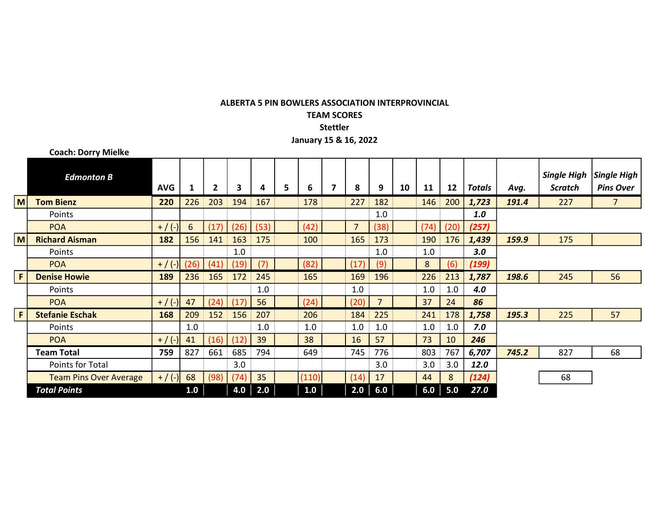|                   | <b>Coach: Dorry Mielke</b>    |            |      |              |      |      |   |       |                |                |                |    |      |      |        |       |                                      |                                        |
|-------------------|-------------------------------|------------|------|--------------|------|------|---|-------|----------------|----------------|----------------|----|------|------|--------|-------|--------------------------------------|----------------------------------------|
|                   | <b>Edmonton B</b>             | <b>AVG</b> | 1    | $\mathbf{2}$ | 3    | 4    | 5 | 6     | $\overline{ }$ | 8              | 9              | 10 | 11   | 12   | Totals | Avg.  | <b>Single High</b><br><b>Scratch</b> | <b>Single High</b><br><b>Pins Over</b> |
| $\vert$ M $\vert$ | <b>Tom Bienz</b>              | 220        | 226  | 203          | 194  | 167  |   | 178   |                | 227            | 182            |    | 146  | 200  | 1,723  | 191.4 | 227                                  | $\mathcal{I}$                          |
|                   | Points                        |            |      |              |      |      |   |       |                |                | 1.0            |    |      |      | 1.0    |       |                                      |                                        |
|                   | <b>POA</b>                    | $+$ / (-)  | 6    | (17)         | (26) | (53) |   | (42)  |                | $\overline{7}$ | (38)           |    | (74) | (20) | (257)  |       |                                      |                                        |
| M                 | <b>Richard Aisman</b>         | 182        | 156  | 141          | 163  | 175  |   | 100   |                | 165            | 173            |    | 190  | 176  | 1,439  | 159.9 | 175                                  |                                        |
|                   | <b>Points</b>                 |            |      |              | 1.0  |      |   |       |                |                | 1.0            |    | 1.0  |      | 3.0    |       |                                      |                                        |
|                   | <b>POA</b>                    | $+$ / (-)  | (26) | (41)         | (19) | (7)  |   | (82)  |                | (17)           | (9)            |    | 8    | (6)  | (199)  |       |                                      |                                        |
| F.                | <b>Denise Howie</b>           | 189        | 236  | 165          | 172  | 245  |   | 165   |                | 169            | 196            |    | 226  | 213  | 1,787  | 198.6 | 245                                  | 56                                     |
|                   | Points                        |            |      |              |      | 1.0  |   |       |                | 1.0            |                |    | 1.0  | 1.0  | 4.0    |       |                                      |                                        |
|                   | <b>POA</b>                    | $+$ / (-)  | 47   | (24)         | (17) | 56   |   | (24)  |                | (20)           | $\overline{7}$ |    | 37   | 24   | 86     |       |                                      |                                        |
| F.                | <b>Stefanie Eschak</b>        | 168        | 209  | 152          | 156  | 207  |   | 206   |                | 184            | 225            |    | 241  | 178  | 1,758  | 195.3 | 225                                  | 57                                     |
|                   | Points                        |            | 1.0  |              |      | 1.0  |   | 1.0   |                | 1.0            | 1.0            |    | 1.0  | 1.0  | 7.0    |       |                                      |                                        |
|                   | <b>POA</b>                    | $+$ / (-)  | 41   | (16)         | (12) | 39   |   | 38    |                | 16             | 57             |    | 73   | 10   | 246    |       |                                      |                                        |
|                   | <b>Team Total</b>             | 759        | 827  | 661          | 685  | 794  |   | 649   |                | 745            | 776            |    | 803  | 767  | 6,707  | 745.2 | 827                                  | 68                                     |
|                   | Points for Total              |            |      |              | 3.0  |      |   |       |                |                | 3.0            |    | 3.0  | 3.0  | 12.0   |       |                                      |                                        |
|                   | <b>Team Pins Over Average</b> | $+$ / (-)  | 68   | (98)         | (74  | 35   |   | (110) |                | (14)           | 17             |    | 44   | 8    | (124)  |       | 68                                   |                                        |
|                   | <b>Total Points</b>           |            | 1.0  |              | 4.0  | 2.0  |   | 1.0   |                | 2.0            | 6.0            |    | 6.0  | 5.0  | 27.0   |       |                                      |                                        |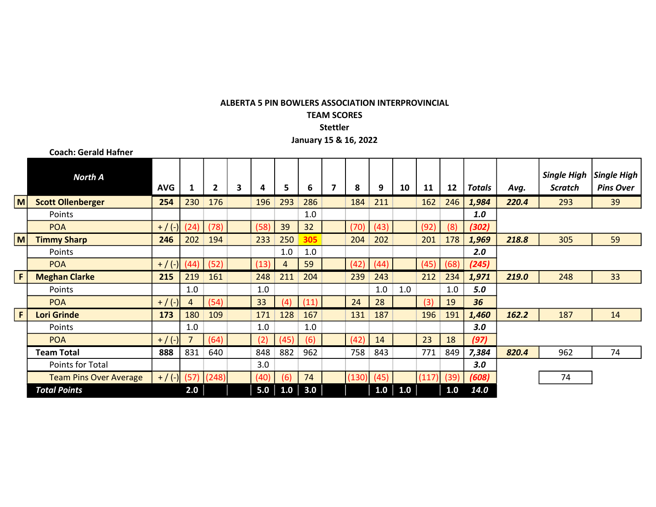**Coach: Gerald Hafner** *North A* **AVG 1 2 3 4 5 6 7 8 9 10 11 12** *Totals Avg. Single High Single High Scratch Pins Over* **M Scott Ollenberger | 254 |** 230 | 176 | | 196 | 293 | 286 | | 184 | 211 | | 162 | 246 | 1**,984 | 220.4 |** 293 | 39 Points 1.0 *1.0* POA + / (-) (24) (78) (58) 39 32 (70) (43) (92) (8) *(302)* **M Timmy Sharp | 246 |** 202 | 194 | | 233 | 250 <mark>| 305 |</mark> | 204 | 202 | | 201 | 178 | **1,969 | 218.8 |** 305 | 59 Points 1.0 1.0 *2.0* POA + / (-) (44) (52) (13) 4 59 (42) (44) (45) (68) *(245)* **F Meghan Clarke 215** 219 161 248 211 204 239 243 212 234 *1,971 219.0* 248 33 Points 1.0 | 1.0 | **5.***0* POA + / (-) 4 (54) 33 (4) (11) 24 28 (3) 19 *36* **F | Lori Grinde | 173 |** 180 | 109 | | 171 | 128 | 167 | | 131 | 187 | 196 | 191 | 1,460 | 162.2 | 187 | 14 Points 1.0 | 1.0 | **3.***0* POA + / (-) 7 (64) (2) (45) (6) (42) 14 23 18 *(97)* **Team Total | 888** | 831 | 640 | | 848 | 882 | 962 | | 758 | 843 | | 771 | 849 | 7,**384 | 820.4 |** 962 | 74 Points for Total **3.0 3.0 3.0 3.0 3.0 3.0** Team Pins Over Average + / (-) (57) (248) (40) (6) 74 (130) (45) (117) (39) *(608)* 74 *Total Points* **2.0** | | 5.0 | 1.0 | 3.0 | | 1.0 | 1.0 | 1.0 | 1.0 14.0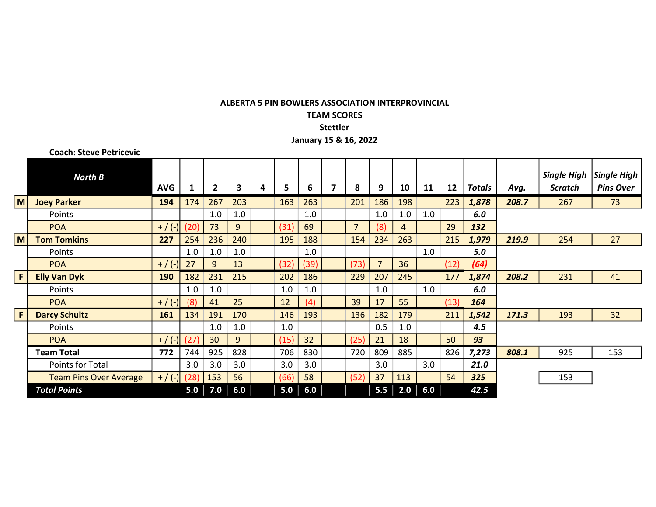**Coach: Steve Petricevic** *North B* **AVG 1 2 3 4 5 6 7 8 9 10 11 12** *Totals Avg. Single High Single High Scratch Pins Over* **M Joey Parker | 194 |** 174 | 267 | 203 | | 163 | 263 | | 201 | 186 | 198 | | 223 | 1,878 | 208.7 | 267 | 73 Points 1.0 | *6.0* POA | + / (-)| (20) | 73 | 9 | | | (31) | 69 | | 7 | (8) | 4 | | 29 | **132 M Tom Tomkins | 227 |** 254 | 236 | 240 | | 195 | 188 | | 154 | 234 | 263 | | 215 <mark>| *1,979* | 219.9 |</mark> 254 | 27 Points 1.0 | **5.0** POA + / (-) 27 9 13 (32) (39) (73) 7 36 (12) *(64)* **F Elly Van Dyk 190** 182 231 215 202 186 229 207 245 177 *1,874 208.2* 231 41 Points 1.0 | 1.0 | *6.0* POA + / (-) (8) 41 25 12 (4) 39 17 55 (13) *164* **F Darcy Schultz 161** 134 191 170 146 193 136 182 179 211 *1,542 171.3* 193 32 Points 1.0 | 1.0 | <mark>4.5</mark> POA + / (-) (27) 30 9 (15) 32 (25) 21 18 50 *93* **Team Total | 772** | 744 | 925 | 828 | | 706 | 830 | | 720 | 809 | 885 | | 826 | **7,273 | 808.1 |** 925 | 153 Points for Total 3.0 3.0 3.0 3.0 3.0 3.0 3.0 *21.0* Team Pins Over Average  $+$  / (-) (28) 153 56 (66) 58 (52) 37 113 (54 325 ) *Total Points* **5.0 7.0 6.0 5.0 6.0 5.5 2.0 6.0** *42.5*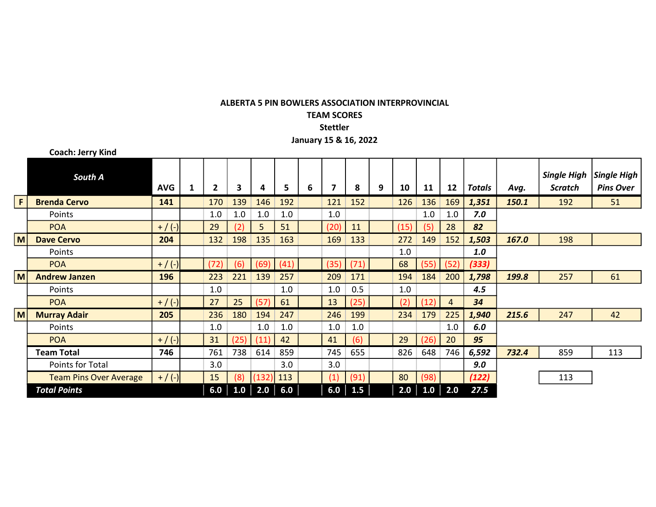|                 | <b>Coach: Jerry Kind</b>      |                        |   |                |      |       |      |   |      |      |   |      |      |      |        |       |                                      |                                        |
|-----------------|-------------------------------|------------------------|---|----------------|------|-------|------|---|------|------|---|------|------|------|--------|-------|--------------------------------------|----------------------------------------|
|                 | South A                       | <b>AVG</b>             | 1 | $\overline{2}$ | 3    | 4     | 5    | 6 | 7    | 8    | 9 | 10   | 11   | 12   | Totals | Avg.  | <b>Single High</b><br><b>Scratch</b> | <b>Single High</b><br><b>Pins Over</b> |
| F               | <b>Brenda Cervo</b>           | 141                    |   | 170            | 139  | 146   | 192  |   | 121  | 152  |   | 126  | 136  | 169  | 1,351  | 150.1 | 192                                  | 51                                     |
|                 | Points                        |                        |   | 1.0            | 1.0  | 1.0   | 1.0  |   | 1.0  |      |   |      | 1.0  | 1.0  | 7.0    |       |                                      |                                        |
|                 | <b>POA</b>                    | $+$ / (-)              |   | 29             | (2)  | 5     | 51   |   | (20) | 11   |   | (15) | (5)  | 28   | 82     |       |                                      |                                        |
| M               | <b>Dave Cervo</b>             | 204                    |   | 132            | 198  | 135   | 163  |   | 169  | 133  |   | 272  | 149  | 152  | 1,503  | 167.0 | 198                                  |                                        |
|                 | Points                        |                        |   |                |      |       |      |   |      |      |   | 1.0  |      |      | 1.0    |       |                                      |                                        |
|                 | <b>POA</b>                    | $+$ / (-)              |   | (72)           | (6)  | (69)  | (41) |   | (35) | (71) |   | 68   | (55) | (52) | (333)  |       |                                      |                                        |
| M               | <b>Andrew Janzen</b>          | 196                    |   | 223            | 221  | 139   | 257  |   | 209  | 171  |   | 194  | 184  | 200  | 1,798  | 199.8 | 257                                  | 61                                     |
|                 | <b>Points</b>                 |                        |   | 1.0            |      |       | 1.0  |   | 1.0  | 0.5  |   | 1.0  |      |      | 4.5    |       |                                      |                                        |
|                 | <b>POA</b>                    | $+$ / (-) <sup>r</sup> |   | 27             | 25   | (57)  | 61   |   | 13   | (25) |   | (2)  | (12) | 4    | 34     |       |                                      |                                        |
| $\vert M \vert$ | <b>Murray Adair</b>           | 205                    |   | 236            | 180  | 194   | 247  |   | 246  | 199  |   | 234  | 179  | 225  | 1,940  | 215.6 | 247                                  | 42                                     |
|                 | Points                        |                        |   | 1.0            |      | 1.0   | 1.0  |   | 1.0  | 1.0  |   |      |      | 1.0  | 6.0    |       |                                      |                                        |
|                 | <b>POA</b>                    | $+$ / (-)              |   | 31             | (25) | (11)  | 42   |   | 41   | (6)  |   | 29   | (26) | 20   | 95     |       |                                      |                                        |
|                 | <b>Team Total</b>             | 746                    |   | 761            | 738  | 614   | 859  |   | 745  | 655  |   | 826  | 648  | 746  | 6,592  | 732.4 | 859                                  | 113                                    |
|                 | Points for Total              |                        |   | 3.0            |      |       | 3.0  |   | 3.0  |      |   |      |      |      | 9.0    |       |                                      |                                        |
|                 | <b>Team Pins Over Average</b> | $+$ / (-)              |   | 15             | (8)  | (132) | 113  |   | (1)  | (91) |   | 80   | (98) |      | (122)  |       | 113                                  |                                        |
|                 | <b>Total Points</b>           |                        |   | 6.0            | 1.0  | 2.0   | 6.0  |   | 6.0  | 1.5  |   | 2.0  | 1.0  | 2.0  | 27.5   |       |                                      |                                        |